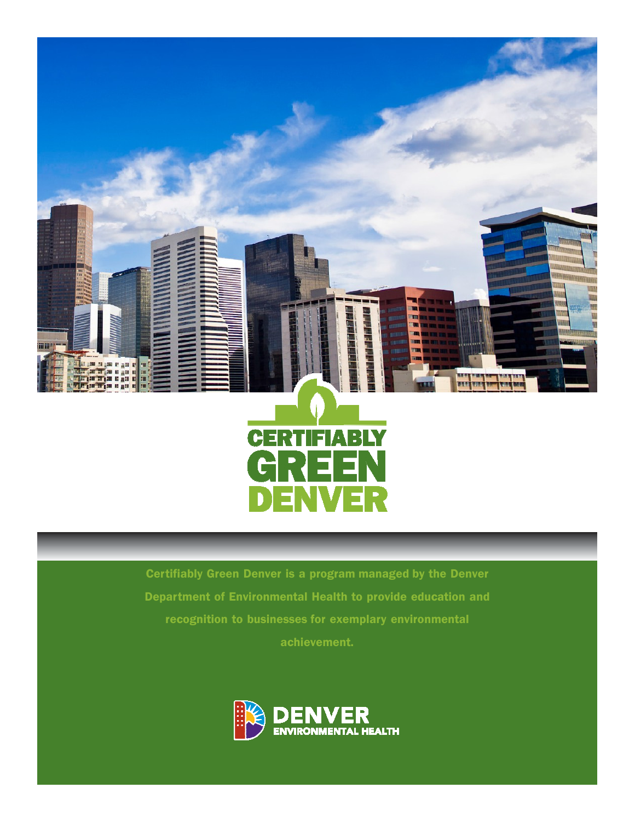



Certifiably Green Denver is a program managed by the Denver Department of Environmental Health to provide education and recognition to businesses for exemplary environmental achievement.

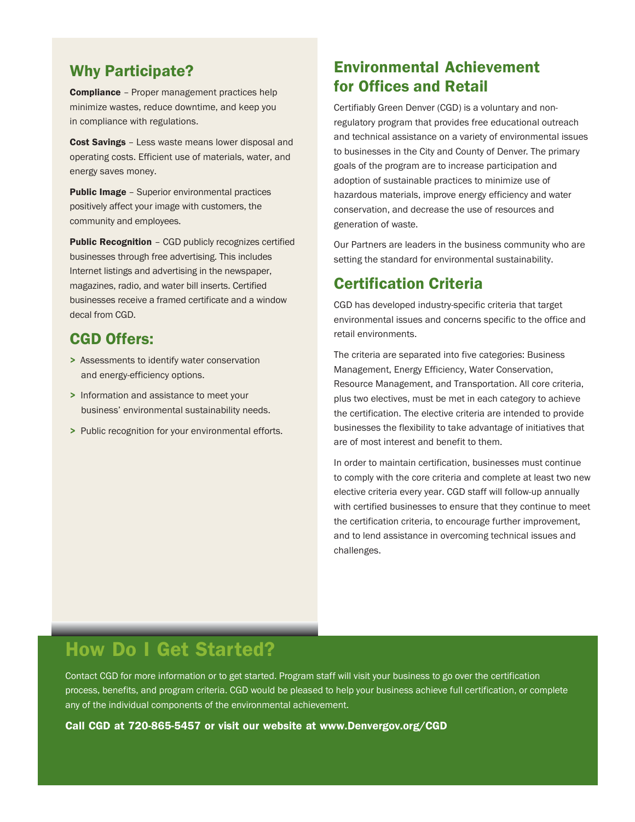### Why Participate?

**Compliance** - Proper management practices help minimize wastes, reduce downtime, and keep you in compliance with regulations.

Cost Savings - Less waste means lower disposal and operating costs. Efficient use of materials, water, and energy saves money.

Public Image - Superior environmental practices positively affect your image with customers, the community and employees.

Public Recognition - CGD publicly recognizes certified businesses through free advertising. This includes Internet listings and advertising in the newspaper, magazines, radio, and water bill inserts. Certified businesses receive a framed certificate and a window decal from CGD.

### CGD Offers:

- > Assessments to identify water conservation and energy-efficiency options.
- > Information and assistance to meet your business' environmental sustainability needs.
- > Public recognition for your environmental efforts.

### Environmental Achievement for Offices and Retail

Certifiably Green Denver (CGD) is a voluntary and nonregulatory program that provides free educational outreach and technical assistance on a variety of environmental issues to businesses in the City and County of Denver. The primary goals of the program are to increase participation and adoption of sustainable practices to minimize use of hazardous materials, improve energy efficiency and water conservation, and decrease the use of resources and generation of waste.

Our Partners are leaders in the business community who are setting the standard for environmental sustainability.

### Certification Criteria

CGD has developed industry-specific criteria that target environmental issues and concerns specific to the office and retail environments.

The criteria are separated into five categories: Business Management, Energy Efficiency, Water Conservation, Resource Management, and Transportation. All core criteria, plus two electives, must be met in each category to achieve the certification. The elective criteria are intended to provide businesses the flexibility to take advantage of initiatives that are of most interest and benefit to them.

In order to maintain certification, businesses must continue to comply with the core criteria and complete at least two new elective criteria every year. CGD staff will follow-up annually with certified businesses to ensure that they continue to meet the certification criteria, to encourage further improvement, and to lend assistance in overcoming technical issues and challenges.

# How Do I Get Started?

Contact CGD for more information or to get started. Program staff will visit your business to go over the certification process, benefits, and program criteria. CGD would be pleased to help your business achieve full certification, or complete any of the individual components of the environmental achievement.

Call CGD at 720-865-5457 or visit our website at www.Denvergov.org/CGD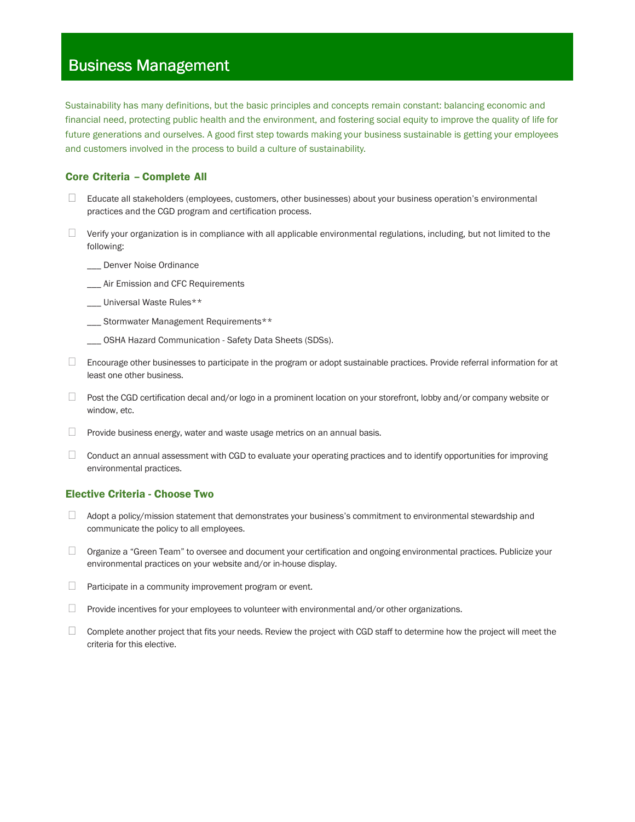# **Business Management**

Sustainability has many definitions, but the basic principles and concepts remain constant: balancing economic and financial need, protecting public health and the environment, and fostering social equity to improve the quality of life for future generations and ourselves. A good first step towards making your business sustainable is getting your employees and customers involved in the process to build a culture of sustainability.

#### Core Criteria – Complete All

 Educate all stakeholders (employees, customers, other businesses) about your business operation's environmental practices and the CGD program and certification process.

 Verify your organization is in compliance with all applicable environmental regulations, including, but not limited to the following:

\_\_\_ Denver Noise Ordinance

\_\_\_ Air Emission and CFC Requirements

\_\_\_ Universal Waste Rules\*\*

\_\_\_ Stormwater Management Requirements\*\*

\_\_\_ OSHA Hazard Communication - Safety Data Sheets (SDSs).

 Encourage other businesses to participate in the program or adopt sustainable practices. Provide referral information for at least one other business.

 Post the CGD certification decal and/or logo in a prominent location on your storefront, lobby and/or company website or window, etc.

Provide business energy, water and waste usage metrics on an annual basis.

 Conduct an annual assessment with CGD to evaluate your operating practices and to identify opportunities for improving environmental practices.

#### Elective Criteria - Choose Two

 Adopt a policy/mission statement that demonstrates your business's commitment to environmental stewardship and communicate the policy to all employees.

 Organize a "Green Team" to oversee and document your certification and ongoing environmental practices. Publicize your environmental practices on your website and/or in-house display.

Participate in a community improvement program or event.

Provide incentives for your employees to volunteer with environmental and/or other organizations.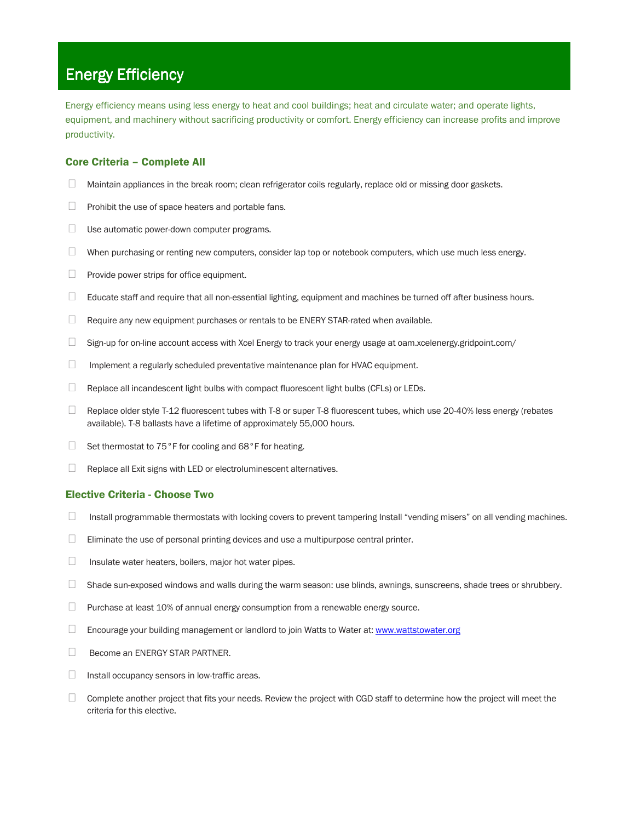### Energy Efficiency

Energy efficiency means using less energy to heat and cool buildings; heat and circulate water; and operate lights, equipment, and machinery without sacrificing productivity or comfort. Energy efficiency can increase profits and improve productivity.

### Core Criteria – Complete All

Maintain appliances in the break room; clean refrigerator coils regularly, replace old or missing door gaskets.

Prohibit the use of space heaters and portable fans.

Use automatic power-down computer programs.

When purchasing or renting new computers, consider lap top or notebook computers, which use much less energy.

Provide power strips for office equipment.

Educate staff and require that all non-essential lighting, equipment and machines be turned off after business hours.

Require any new equipment purchases or rentals to be ENERY STAR-rated when available.

Sign-up for on-line account access with Xcel Energy to track your energy usage at oam.xcelenergy.gridpoint.com/

Implement a regularly scheduled preventative maintenance plan for HVAC equipment.

Replace all incandescent light bulbs with compact fluorescent light bulbs (CFLs) or LEDs.

 Replace older style T-12 fluorescent tubes with T-8 or super T-8 fluorescent tubes, which use 20-40% less energy (rebates available). T-8 ballasts have a lifetime of approximately 55,000 hours.

Set thermostat to 75°F for cooling and 68°F for heating.

Replace all Exit signs with LED or electroluminescent alternatives.

#### Elective Criteria - Choose Two

Install programmable thermostats with locking covers to prevent tampering Install "vending misers" on all vending machines.

Eliminate the use of personal printing devices and use a multipurpose central printer.

Insulate water heaters, boilers, major hot water pipes.

Shade sun-exposed windows and walls during the warm season: use blinds, awnings, sunscreens, shade trees or shrubbery.

Purchase at least 10% of annual energy consumption from a renewable energy source.

Encourage your building management or landlord to join Watts to Water at: www.wattstowater.org

Become an ENERGY STAR PARTNER.

Install occupancy sensors in low-traffic areas.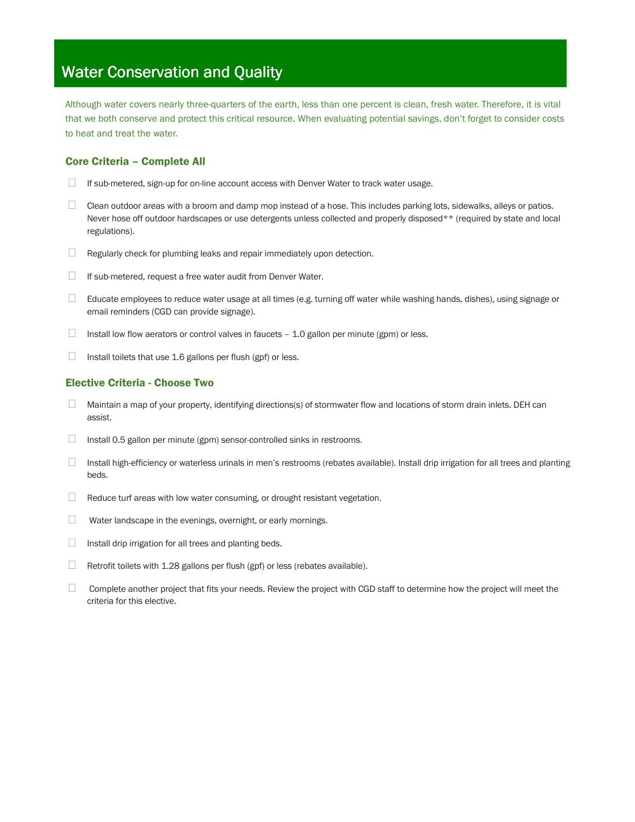## Water Conservation and Quality

Although water covers nearly three-quarters of the earth, less than one percent is clean, fresh water. Therefore, it is vital that we both conserve and protect this critical resource. When evaluating potential savings, don't forget to consider costs to heat and treat the water.

### Core Criteria – Complete All

If sub-metered, sign-up for on-line account access with Denver Water to track water usage.

 Clean outdoor areas with a broom and damp mop instead of a hose. This includes parking lots, sidewalks, alleys or patios. Never hose off outdoor hardscapes or use detergents unless collected and properly disposed\*\* (required by state and local regulations).

Regularly check for plumbing leaks and repair immediately upon detection.

If sub-metered, request a free water audit from Denver Water.

 Educate employees to reduce water usage at all times (e.g. turning off water while washing hands, dishes), using signage or email reminders (CGD can provide signage).

Install low flow aerators or control valves in faucets - 1.0 gallon per minute (gpm) or less.

Install toilets that use 1.6 gallons per flush (gpf) or less.

### Elective Criteria - Choose Two

 Maintain a map of your property, identifying directions(s) of stormwater flow and locations of storm drain inlets. DEH can assist.

Install 0.5 gallon per minute (gpm) sensor-controlled sinks in restrooms.

 Install high-efficiency or waterless urinals in men's restrooms (rebates available). Install drip irrigation for all trees and planting beds.

Reduce turf areas with low water consuming, or drought resistant vegetation.

Water landscape in the evenings, overnight, or early mornings.

Install drip irrigation for all trees and planting beds.

Retrofit toilets with 1.28 gallons per flush (gpf) or less (rebates available).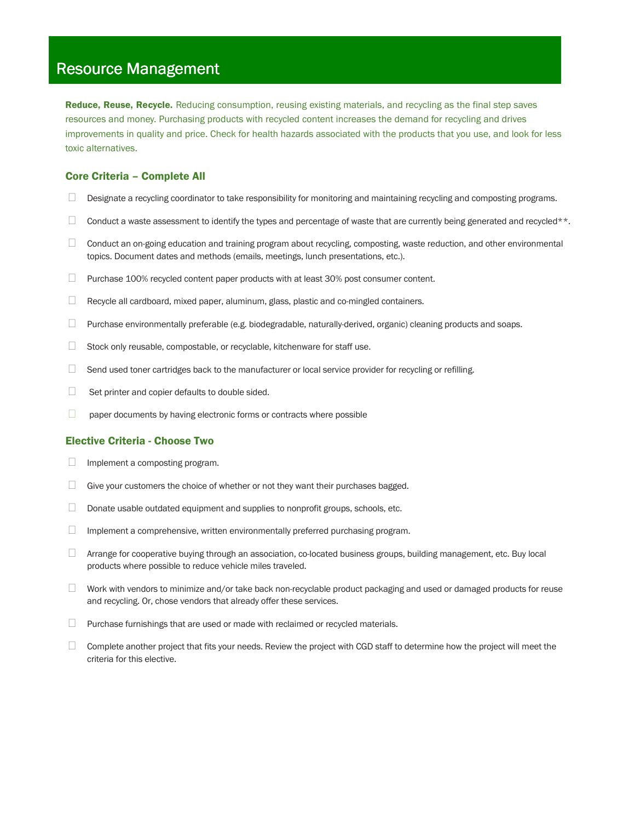### **Resource Management**

Reduce, Reuse, Recycle. Reducing consumption, reusing existing materials, and recycling as the final step saves resources and money. Purchasing products with recycled content increases the demand for recycling and drives improvements in quality and price. Check for health hazards associated with the products that you use, and look for less toxic alternatives.

#### Core Criteria – Complete All

Designate a recycling coordinator to take responsibility for monitoring and maintaining recycling and composting programs.

Conduct a waste assessment to identify the types and percentage of waste that are currently being generated and recycled\*\*.

 Conduct an on-going education and training program about recycling, composting, waste reduction, and other environmental topics. Document dates and methods (emails, meetings, lunch presentations, etc.).

Purchase 100% recycled content paper products with at least 30% post consumer content.

Recycle all cardboard, mixed paper, aluminum, glass, plastic and co-mingled containers.

Purchase environmentally preferable (e.g. biodegradable, naturally-derived, organic) cleaning products and soaps.

Stock only reusable, compostable, or recyclable, kitchenware for staff use.

Send used toner cartridges back to the manufacturer or local service provider for recycling or refilling.

Set printer and copier defaults to double sided.

paper documents by having electronic forms or contracts where possible

#### Elective Criteria - Choose Two

Implement a composting program.

Give your customers the choice of whether or not they want their purchases bagged.

Donate usable outdated equipment and supplies to nonprofit groups, schools, etc.

Implement a comprehensive, written environmentally preferred purchasing program.

 Arrange for cooperative buying through an association, co-located business groups, building management, etc. Buy local products where possible to reduce vehicle miles traveled.

 Work with vendors to minimize and/or take back non-recyclable product packaging and used or damaged products for reuse and recycling. Or, chose vendors that already offer these services.

Purchase furnishings that are used or made with reclaimed or recycled materials.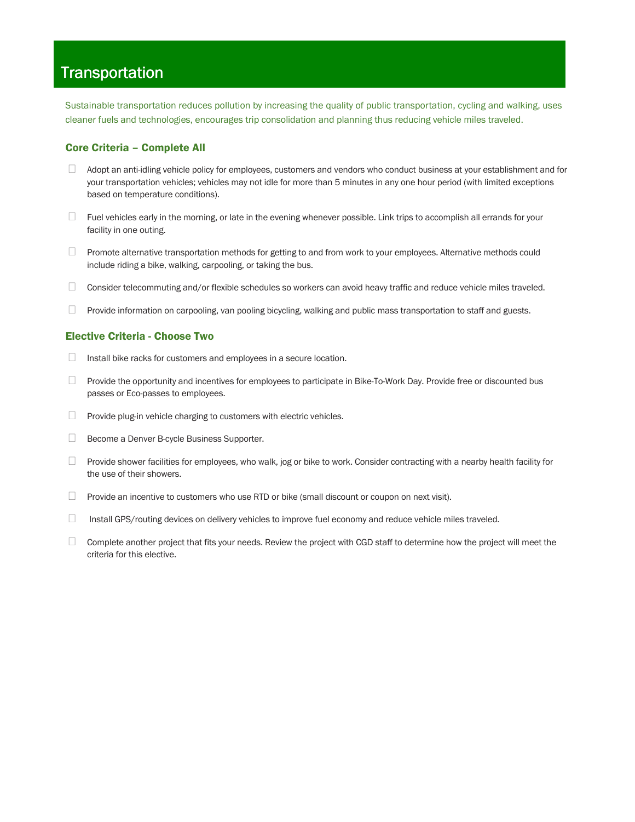## **Transportation**

Sustainable transportation reduces pollution by increasing the quality of public transportation, cycling and walking, uses cleaner fuels and technologies, encourages trip consolidation and planning thus reducing vehicle miles traveled.

#### Core Criteria – Complete All

 Adopt an anti-idling vehicle policy for employees, customers and vendors who conduct business at your establishment and for your transportation vehicles; vehicles may not idle for more than 5 minutes in any one hour period (with limited exceptions based on temperature conditions).

 Fuel vehicles early in the morning, or late in the evening whenever possible. Link trips to accomplish all errands for your facility in one outing.

 Promote alternative transportation methods for getting to and from work to your employees. Alternative methods could include riding a bike, walking, carpooling, or taking the bus.

Consider telecommuting and/or flexible schedules so workers can avoid heavy traffic and reduce vehicle miles traveled.

Provide information on carpooling, van pooling bicycling, walking and public mass transportation to staff and guests.

#### Elective Criteria - Choose Two

Install bike racks for customers and employees in a secure location.

 Provide the opportunity and incentives for employees to participate in Bike-To-Work Day. Provide free or discounted bus passes or Eco-passes to employees.

Provide plug-in vehicle charging to customers with electric vehicles.

Become a Denver B-cycle Business Supporter.

 Provide shower facilities for employees, who walk, jog or bike to work. Consider contracting with a nearby health facility for the use of their showers.

Provide an incentive to customers who use RTD or bike (small discount or coupon on next visit).

Install GPS/routing devices on delivery vehicles to improve fuel economy and reduce vehicle miles traveled.